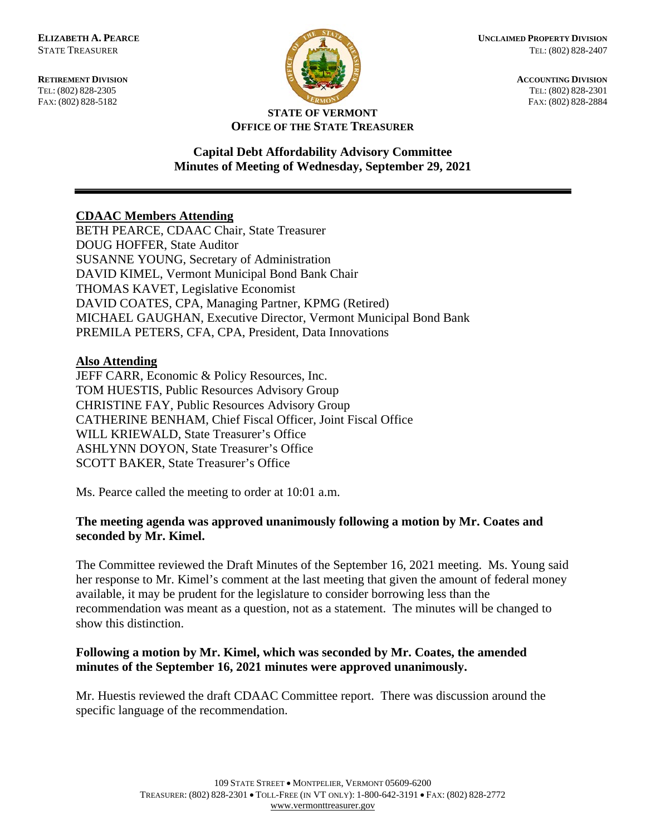

**ELIZABETH A. PEARCE CONSIDERED PROPERTY DIVISION** STATE TREASURER TEL: (802) 828-2407

**RETIREMENT DIVISION ACCOUNTING DIVISION** TEL: (802) 828-2305 TEL: (802) 828-2301 FAX: (802) 828-5182 FAX: (802) 828-2884

#### **STATE OF VERMONT OFFICE OF THE STATE TREASURER**

# **Capital Debt Affordability Advisory Committee Minutes of Meeting of Wednesday, September 29, 2021**

# **CDAAC Members Attending**

BETH PEARCE, CDAAC Chair, State Treasurer DOUG HOFFER, State Auditor SUSANNE YOUNG, Secretary of Administration DAVID KIMEL, Vermont Municipal Bond Bank Chair THOMAS KAVET, Legislative Economist DAVID COATES, CPA, Managing Partner, KPMG (Retired) MICHAEL GAUGHAN, Executive Director, Vermont Municipal Bond Bank PREMILA PETERS, CFA, CPA, President, Data Innovations

#### **Also Attending**

JEFF CARR, Economic & Policy Resources, Inc. TOM HUESTIS, Public Resources Advisory Group CHRISTINE FAY, Public Resources Advisory Group CATHERINE BENHAM, Chief Fiscal Officer, Joint Fiscal Office WILL KRIEWALD, State Treasurer's Office ASHLYNN DOYON, State Treasurer's Office SCOTT BAKER, State Treasurer's Office

Ms. Pearce called the meeting to order at 10:01 a.m.

## **The meeting agenda was approved unanimously following a motion by Mr. Coates and seconded by Mr. Kimel.**

The Committee reviewed the Draft Minutes of the September 16, 2021 meeting. Ms. Young said her response to Mr. Kimel's comment at the last meeting that given the amount of federal money available, it may be prudent for the legislature to consider borrowing less than the recommendation was meant as a question, not as a statement. The minutes will be changed to show this distinction.

## **Following a motion by Mr. Kimel, which was seconded by Mr. Coates, the amended minutes of the September 16, 2021 minutes were approved unanimously.**

Mr. Huestis reviewed the draft CDAAC Committee report. There was discussion around the specific language of the recommendation.